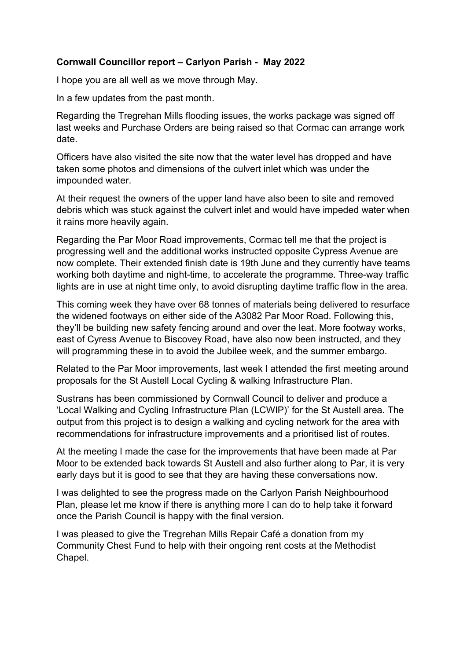## Cornwall Councillor report – Carlyon Parish - May 2022

I hope you are all well as we move through May.

In a few updates from the past month.

Regarding the Tregrehan Mills flooding issues, the works package was signed off last weeks and Purchase Orders are being raised so that Cormac can arrange work date.

Officers have also visited the site now that the water level has dropped and have taken some photos and dimensions of the culvert inlet which was under the impounded water.

At their request the owners of the upper land have also been to site and removed debris which was stuck against the culvert inlet and would have impeded water when it rains more heavily again.

Regarding the Par Moor Road improvements, Cormac tell me that the project is progressing well and the additional works instructed opposite Cypress Avenue are now complete. Their extended finish date is 19th June and they currently have teams working both daytime and night-time, to accelerate the programme. Three-way traffic lights are in use at night time only, to avoid disrupting daytime traffic flow in the area.

This coming week they have over 68 tonnes of materials being delivered to resurface the widened footways on either side of the A3082 Par Moor Road. Following this, they'll be building new safety fencing around and over the leat. More footway works, east of Cyress Avenue to Biscovey Road, have also now been instructed, and they will programming these in to avoid the Jubilee week, and the summer embargo.

Related to the Par Moor improvements, last week I attended the first meeting around proposals for the St Austell Local Cycling & walking Infrastructure Plan.

Sustrans has been commissioned by Cornwall Council to deliver and produce a 'Local Walking and Cycling Infrastructure Plan (LCWIP)' for the St Austell area. The output from this project is to design a walking and cycling network for the area with recommendations for infrastructure improvements and a prioritised list of routes.

At the meeting I made the case for the improvements that have been made at Par Moor to be extended back towards St Austell and also further along to Par, it is very early days but it is good to see that they are having these conversations now.

I was delighted to see the progress made on the Carlyon Parish Neighbourhood Plan, please let me know if there is anything more I can do to help take it forward once the Parish Council is happy with the final version.

I was pleased to give the Tregrehan Mills Repair Café a donation from my Community Chest Fund to help with their ongoing rent costs at the Methodist Chapel.